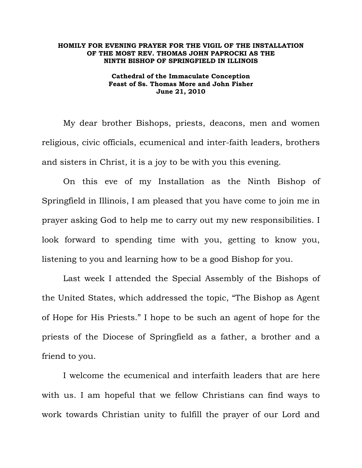## **HOMILY FOR EVENING PRAYER FOR THE VIGIL OF THE INSTALLATION OF THE MOST REV. THOMAS JOHN PAPROCKI AS THE NINTH BISHOP OF SPRINGFIELD IN ILLINOIS**

**Cathedral of the Immaculate Conception Feast of Ss. Thomas More and John Fisher June 21, 2010** 

My dear brother Bishops, priests, deacons, men and women religious, civic officials, ecumenical and inter-faith leaders, brothers and sisters in Christ, it is a joy to be with you this evening.

 On this eve of my Installation as the Ninth Bishop of Springfield in Illinois, I am pleased that you have come to join me in prayer asking God to help me to carry out my new responsibilities. I look forward to spending time with you, getting to know you, listening to you and learning how to be a good Bishop for you.

 Last week I attended the Special Assembly of the Bishops of the United States, which addressed the topic, "The Bishop as Agent of Hope for His Priests." I hope to be such an agent of hope for the priests of the Diocese of Springfield as a father, a brother and a friend to you.

 I welcome the ecumenical and interfaith leaders that are here with us. I am hopeful that we fellow Christians can find ways to work towards Christian unity to fulfill the prayer of our Lord and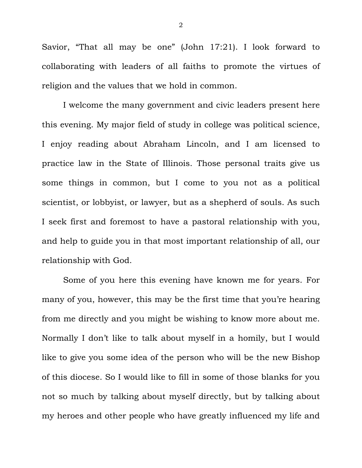Savior, "That all may be one" (John 17:21). I look forward to collaborating with leaders of all faiths to promote the virtues of religion and the values that we hold in common.

 I welcome the many government and civic leaders present here this evening. My major field of study in college was political science, I enjoy reading about Abraham Lincoln, and I am licensed to practice law in the State of Illinois. Those personal traits give us some things in common, but I come to you not as a political scientist, or lobbyist, or lawyer, but as a shepherd of souls. As such I seek first and foremost to have a pastoral relationship with you, and help to guide you in that most important relationship of all, our relationship with God.

Some of you here this evening have known me for years. For many of you, however, this may be the first time that you're hearing from me directly and you might be wishing to know more about me. Normally I don't like to talk about myself in a homily, but I would like to give you some idea of the person who will be the new Bishop of this diocese. So I would like to fill in some of those blanks for you not so much by talking about myself directly, but by talking about my heroes and other people who have greatly influenced my life and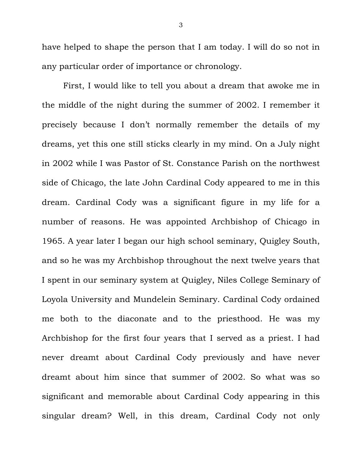have helped to shape the person that I am today. I will do so not in any particular order of importance or chronology.

 First, I would like to tell you about a dream that awoke me in the middle of the night during the summer of 2002. I remember it precisely because I don't normally remember the details of my dreams, yet this one still sticks clearly in my mind. On a July night in 2002 while I was Pastor of St. Constance Parish on the northwest side of Chicago, the late John Cardinal Cody appeared to me in this dream. Cardinal Cody was a significant figure in my life for a number of reasons. He was appointed Archbishop of Chicago in 1965. A year later I began our high school seminary, Quigley South, and so he was my Archbishop throughout the next twelve years that I spent in our seminary system at Quigley, Niles College Seminary of Loyola University and Mundelein Seminary. Cardinal Cody ordained me both to the diaconate and to the priesthood. He was my Archbishop for the first four years that I served as a priest. I had never dreamt about Cardinal Cody previously and have never dreamt about him since that summer of 2002. So what was so significant and memorable about Cardinal Cody appearing in this singular dream? Well, in this dream, Cardinal Cody not only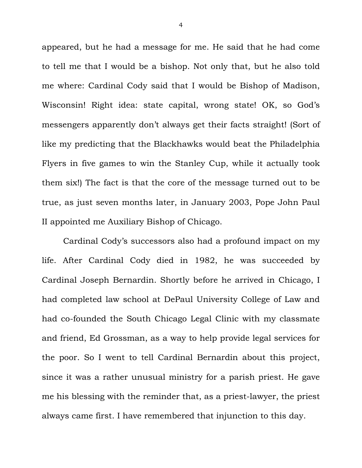appeared, but he had a message for me. He said that he had come to tell me that I would be a bishop. Not only that, but he also told me where: Cardinal Cody said that I would be Bishop of Madison, Wisconsin! Right idea: state capital, wrong state! OK, so God's messengers apparently don't always get their facts straight! (Sort of like my predicting that the Blackhawks would beat the Philadelphia Flyers in five games to win the Stanley Cup, while it actually took them six!) The fact is that the core of the message turned out to be true, as just seven months later, in January 2003, Pope John Paul II appointed me Auxiliary Bishop of Chicago.

 Cardinal Cody's successors also had a profound impact on my life. After Cardinal Cody died in 1982, he was succeeded by Cardinal Joseph Bernardin. Shortly before he arrived in Chicago, I had completed law school at DePaul University College of Law and had co-founded the South Chicago Legal Clinic with my classmate and friend, Ed Grossman, as a way to help provide legal services for the poor. So I went to tell Cardinal Bernardin about this project, since it was a rather unusual ministry for a parish priest. He gave me his blessing with the reminder that, as a priest-lawyer, the priest always came first. I have remembered that injunction to this day.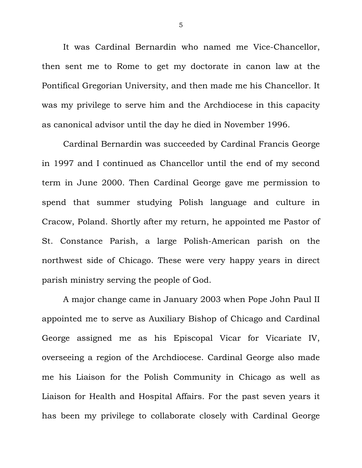It was Cardinal Bernardin who named me Vice-Chancellor, then sent me to Rome to get my doctorate in canon law at the Pontifical Gregorian University, and then made me his Chancellor. It was my privilege to serve him and the Archdiocese in this capacity as canonical advisor until the day he died in November 1996.

 Cardinal Bernardin was succeeded by Cardinal Francis George in 1997 and I continued as Chancellor until the end of my second term in June 2000. Then Cardinal George gave me permission to spend that summer studying Polish language and culture in Cracow, Poland. Shortly after my return, he appointed me Pastor of St. Constance Parish, a large Polish-American parish on the northwest side of Chicago. These were very happy years in direct parish ministry serving the people of God.

 A major change came in January 2003 when Pope John Paul II appointed me to serve as Auxiliary Bishop of Chicago and Cardinal George assigned me as his Episcopal Vicar for Vicariate IV, overseeing a region of the Archdiocese. Cardinal George also made me his Liaison for the Polish Community in Chicago as well as Liaison for Health and Hospital Affairs. For the past seven years it has been my privilege to collaborate closely with Cardinal George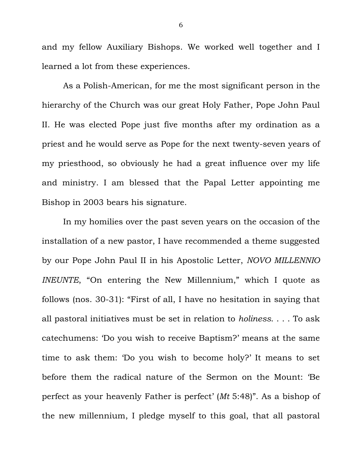and my fellow Auxiliary Bishops. We worked well together and I learned a lot from these experiences.

 As a Polish-American, for me the most significant person in the hierarchy of the Church was our great Holy Father, Pope John Paul II. He was elected Pope just five months after my ordination as a priest and he would serve as Pope for the next twenty-seven years of my priesthood, so obviously he had a great influence over my life and ministry. I am blessed that the Papal Letter appointing me Bishop in 2003 bears his signature.

In my homilies over the past seven years on the occasion of the installation of a new pastor, I have recommended a theme suggested by our Pope John Paul II in his Apostolic Letter, *NOVO MILLENNIO INEUNTE*, "On entering the New Millennium," which I quote as follows (nos. 30-31): "First of all, I have no hesitation in saying that all pastoral initiatives must be set in relation to *holiness*. . . . To ask catechumens: 'Do you wish to receive Baptism?' means at the same time to ask them: 'Do you wish to become holy?' It means to set before them the radical nature of the Sermon on the Mount: 'Be perfect as your heavenly Father is perfect' (*Mt* 5:48)". As a bishop of the new millennium, I pledge myself to this goal, that all pastoral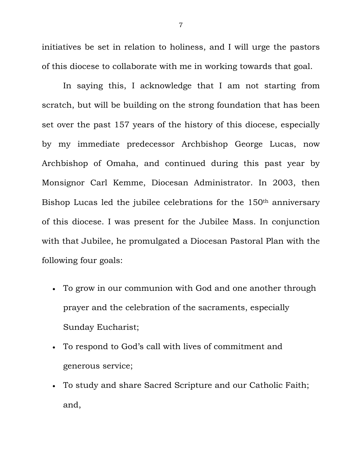initiatives be set in relation to holiness, and I will urge the pastors of this diocese to collaborate with me in working towards that goal.

In saying this, I acknowledge that I am not starting from scratch, but will be building on the strong foundation that has been set over the past 157 years of the history of this diocese, especially by my immediate predecessor Archbishop George Lucas, now Archbishop of Omaha, and continued during this past year by Monsignor Carl Kemme, Diocesan Administrator. In 2003, then Bishop Lucas led the jubilee celebrations for the 150th anniversary of this diocese. I was present for the Jubilee Mass. In conjunction with that Jubilee, he promulgated a Diocesan Pastoral Plan with the following four goals:

- To grow in our communion with God and one another through prayer and the celebration of the sacraments, especially Sunday Eucharist;
- To respond to God's call with lives of commitment and generous service;
- To study and share Sacred Scripture and our Catholic Faith; and,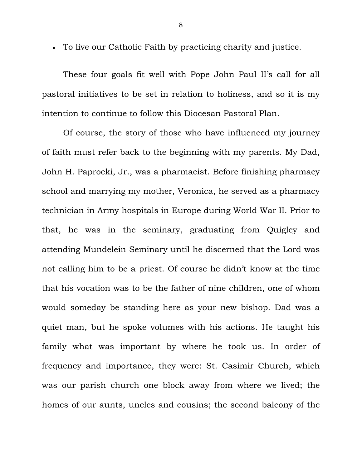To live our Catholic Faith by practicing charity and justice.

These four goals fit well with Pope John Paul II's call for all pastoral initiatives to be set in relation to holiness, and so it is my intention to continue to follow this Diocesan Pastoral Plan.

Of course, the story of those who have influenced my journey of faith must refer back to the beginning with my parents. My Dad, John H. Paprocki, Jr., was a pharmacist. Before finishing pharmacy school and marrying my mother, Veronica, he served as a pharmacy technician in Army hospitals in Europe during World War II. Prior to that, he was in the seminary, graduating from Quigley and attending Mundelein Seminary until he discerned that the Lord was not calling him to be a priest. Of course he didn't know at the time that his vocation was to be the father of nine children, one of whom would someday be standing here as your new bishop. Dad was a quiet man, but he spoke volumes with his actions. He taught his family what was important by where he took us. In order of frequency and importance, they were: St. Casimir Church, which was our parish church one block away from where we lived; the homes of our aunts, uncles and cousins; the second balcony of the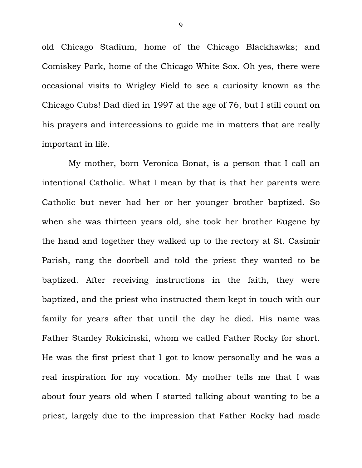old Chicago Stadium, home of the Chicago Blackhawks; and Comiskey Park, home of the Chicago White Sox. Oh yes, there were occasional visits to Wrigley Field to see a curiosity known as the Chicago Cubs! Dad died in 1997 at the age of 76, but I still count on his prayers and intercessions to guide me in matters that are really important in life.

 My mother, born Veronica Bonat, is a person that I call an intentional Catholic. What I mean by that is that her parents were Catholic but never had her or her younger brother baptized. So when she was thirteen years old, she took her brother Eugene by the hand and together they walked up to the rectory at St. Casimir Parish, rang the doorbell and told the priest they wanted to be baptized. After receiving instructions in the faith, they were baptized, and the priest who instructed them kept in touch with our family for years after that until the day he died. His name was Father Stanley Rokicinski, whom we called Father Rocky for short. He was the first priest that I got to know personally and he was a real inspiration for my vocation. My mother tells me that I was about four years old when I started talking about wanting to be a priest, largely due to the impression that Father Rocky had made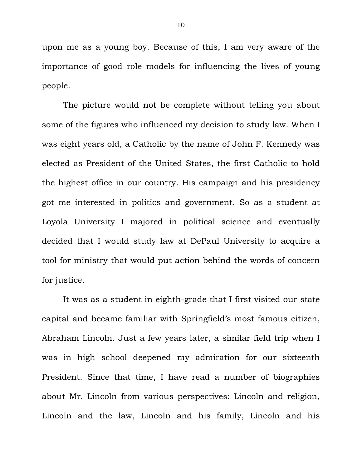upon me as a young boy. Because of this, I am very aware of the importance of good role models for influencing the lives of young people.

The picture would not be complete without telling you about some of the figures who influenced my decision to study law. When I was eight years old, a Catholic by the name of John F. Kennedy was elected as President of the United States, the first Catholic to hold the highest office in our country. His campaign and his presidency got me interested in politics and government. So as a student at Loyola University I majored in political science and eventually decided that I would study law at DePaul University to acquire a tool for ministry that would put action behind the words of concern for justice.

It was as a student in eighth-grade that I first visited our state capital and became familiar with Springfield's most famous citizen, Abraham Lincoln. Just a few years later, a similar field trip when I was in high school deepened my admiration for our sixteenth President. Since that time, I have read a number of biographies about Mr. Lincoln from various perspectives: Lincoln and religion, Lincoln and the law, Lincoln and his family, Lincoln and his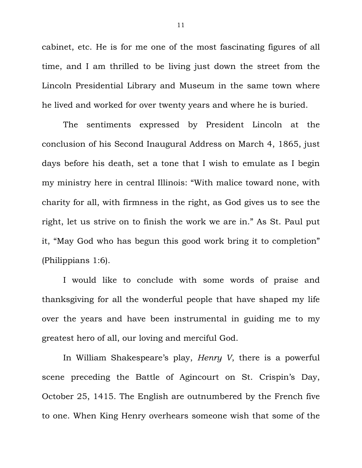cabinet, etc. He is for me one of the most fascinating figures of all time, and I am thrilled to be living just down the street from the Lincoln Presidential Library and Museum in the same town where he lived and worked for over twenty years and where he is buried.

The sentiments expressed by President Lincoln at the conclusion of his Second Inaugural Address on March 4, 1865, just days before his death, set a tone that I wish to emulate as I begin my ministry here in central Illinois: "With malice toward none, with charity for all, with firmness in the right, as God gives us to see the right, let us strive on to finish the work we are in." As St. Paul put it, "May God who has begun this good work bring it to completion" (Philippians 1:6).

I would like to conclude with some words of praise and thanksgiving for all the wonderful people that have shaped my life over the years and have been instrumental in guiding me to my greatest hero of all, our loving and merciful God.

In William Shakespeare's play, *Henry V*, there is a powerful scene preceding the Battle of Agincourt on St. Crispin's Day, October 25, 1415. The English are outnumbered by the French five to one. When King Henry overhears someone wish that some of the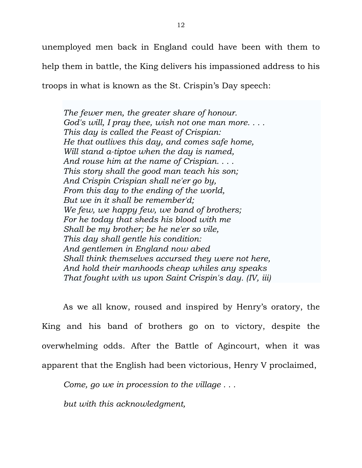unemployed men back in England could have been with them to help them in battle, the King delivers his impassioned address to his troops in what is known as the St. Crispin's Day speech:

*The fewer men, the greater share of honour. God's will, I pray thee, wish not one man more. . . . This day is called the Feast of Crispian: He that outlives this day, and comes safe home, Will stand a-tiptoe when the day is named, And rouse him at the name of Crispian. . . . This story shall the good man teach his son; And Crispin Crispian shall ne'er go by, From this day to the ending of the world, But we in it shall be remember'd; We few, we happy few, we band of brothers; For he today that sheds his blood with me Shall be my brother; be he ne'er so vile, This day shall gentle his condition: And gentlemen in England now abed Shall think themselves accursed they were not here, And hold their manhoods cheap whiles any speaks That fought with us upon Saint Crispin's day. (IV, iii)* 

As we all know, roused and inspired by Henry's oratory, the King and his band of brothers go on to victory, despite the overwhelming odds. After the Battle of Agincourt, when it was apparent that the English had been victorious, Henry V proclaimed,

*Come, go we in procession to the village . . .* 

*but with this acknowledgment,*